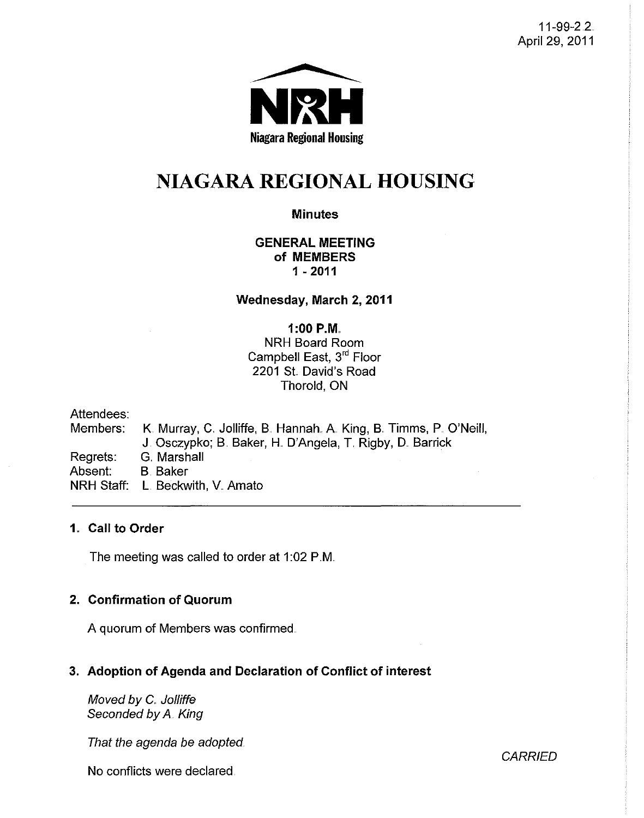11-99-2.2. April 29, 2011



# NIAGARA **REGIONAL HOUSING**

# **Minutes**

## GENERAL MEETING of MEMBERS 1 - 2011

Wednesday, March 2, 2011

# $1:00$  P.M.

NRH Board Room Campbell East, 3<sup>rd</sup> Floor 2201 St David's Road Thorold, ON

Attendees: Members: K. Murray, C. Jolliffe, B. Hannah. A. King, B. Timms, P. O'Neill, J. Osczypko; B. Baker, H. D'Angela, T. Rigby, D. Barrick Regrets: G. Marshall Absent: B. Baker NRH Staff: L Beckwith, V. Amato

## 1. Call to Order

The meeting was called to order at 1:02 P.M.

# 2. Confirmation of Quorum

A quorum of Members was confirmed ..

# 3. Adoption of Agenda and Declaration of Conflict of interest

Moved by C. Jolliffe Seconded by A. King

That the agenda be adopted

No conflicts were declared.

**CARRIED**